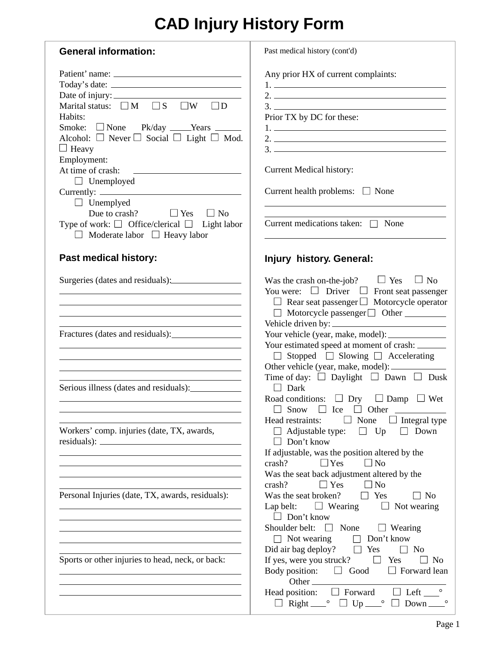## **CAD Injury History Form**

| <b>General information:</b>                                                                                                                                                                                                                                                                                                                                                                                                                                       | Past medical history (cont'd)                                                                                                                                                                                                                                                                                                                                                                                                                                         |
|-------------------------------------------------------------------------------------------------------------------------------------------------------------------------------------------------------------------------------------------------------------------------------------------------------------------------------------------------------------------------------------------------------------------------------------------------------------------|-----------------------------------------------------------------------------------------------------------------------------------------------------------------------------------------------------------------------------------------------------------------------------------------------------------------------------------------------------------------------------------------------------------------------------------------------------------------------|
| Date of injury:<br>Marital status: $\Box M \Box S$<br>$\Box W$<br>$\Box D$<br>Habits:<br>Smoke: $\Box$ None Pk/day $\Box$ Years $\Box$<br>Alcohol: $\Box$ Never $\Box$ Social $\Box$ Light $\Box$ Mod.<br>$\Box$ Heavy<br>Employment:<br>At time of crash:<br><u> Liste de la construcción de la construcción de la construcción de la construcción de la construcción de la c</u><br>$\Box$ Unemployed<br>$\Box$ Unemplyed<br>Due to crash? $\Box$ Yes $\Box$ No | Any prior HX of current complaints:<br>$1.$ $\frac{1}{2}$ $\frac{1}{2}$ $\frac{1}{2}$ $\frac{1}{2}$ $\frac{1}{2}$ $\frac{1}{2}$ $\frac{1}{2}$ $\frac{1}{2}$ $\frac{1}{2}$ $\frac{1}{2}$ $\frac{1}{2}$ $\frac{1}{2}$ $\frac{1}{2}$ $\frac{1}{2}$ $\frac{1}{2}$ $\frac{1}{2}$ $\frac{1}{2}$ $\frac{1}{2}$ $\frac{1}{2}$ $\frac{1}{2}$ $\frac{1}{2}$ $\frac{1}{$<br>Prior TX by DC for these:<br><b>Current Medical history:</b><br>Current health problems: $\Box$ None |
| Type of work: $\Box$ Office/clerical $\Box$ Light labor<br>$\Box$ Moderate labor $\Box$ Heavy labor                                                                                                                                                                                                                                                                                                                                                               | Current medications taken: $\Box$ None                                                                                                                                                                                                                                                                                                                                                                                                                                |
| <b>Past medical history:</b>                                                                                                                                                                                                                                                                                                                                                                                                                                      | <b>Injury history. General:</b>                                                                                                                                                                                                                                                                                                                                                                                                                                       |
| <u> 1989 - Johann Stoff, deutscher Stoffen und der Stoffen und der Stoffen und der Stoffen und der Stoffen und der</u><br><u> 1980 - Johann Barn, fransk politik (f. 1980)</u>                                                                                                                                                                                                                                                                                    | Was the crash on-the-job? $\Box$ Yes $\Box$ No<br>You were: $\Box$ Driver $\Box$ Front seat passenger<br>$\Box$ Rear seat passenger $\Box$ Motorcycle operator<br>□ Motorcycle passenger □ Other ________                                                                                                                                                                                                                                                             |
|                                                                                                                                                                                                                                                                                                                                                                                                                                                                   | Your estimated speed at moment of crash:<br>$\Box$ Stopped $\Box$ Slowing $\Box$ Accelerating                                                                                                                                                                                                                                                                                                                                                                         |
| Serious illness (dates and residuals):                                                                                                                                                                                                                                                                                                                                                                                                                            | Time of day: $\Box$ Daylight $\Box$ Dawn $\Box$ Dusk<br>$\Box$ Dark<br>Road conditions: $\Box$ Dry<br>$\Box$ Damp $\Box$ Wet<br>Ice<br>Other<br>Snow<br>$\Box$<br>$\perp$                                                                                                                                                                                                                                                                                             |
| Workers' comp. injuries (date, TX, awards,                                                                                                                                                                                                                                                                                                                                                                                                                        | $\Box$ None<br>Integral type<br>Head restraints:<br>Adjustable type:<br>$\Box$ Down<br>$\Box$ Up<br>$\Box$ Don't know<br>If adjustable, was the position altered by the<br>$\Box$ Yes<br>$\Box$ No<br>crash?<br>Was the seat back adjustment altered by the                                                                                                                                                                                                           |
| Personal Injuries (date, TX, awards, residuals):                                                                                                                                                                                                                                                                                                                                                                                                                  | crash?<br>$\Box$ Yes<br>$\Box$ No<br>$\Box$ Yes<br>Was the seat broken?<br>$\Box$ No<br>Lap belt: $\Box$ Wearing<br>$\Box$ Not wearing<br>$\Box$ Don't know<br>Shoulder belt:<br>$\Box$ None $\Box$ Wearing<br>$\Box$ Not wearing<br>Don't know<br>$\perp$                                                                                                                                                                                                            |
| Sports or other injuries to head, neck, or back:                                                                                                                                                                                                                                                                                                                                                                                                                  | Did air bag deploy? $\Box$ Yes<br>No<br>$\blacksquare$<br>If yes, were you struck? $\Box$<br>Yes<br>N <sub>0</sub><br>Body position: $\Box$ Good<br>$\Box$ Forward lean<br>$\Box$ Left $\Box$<br>Head position: $\Box$ Forward<br>$\Box$ Right $\Box$ $\Box$ Up $\Box$<br>$Down$ <sub><math>-</math></sub>                                                                                                                                                            |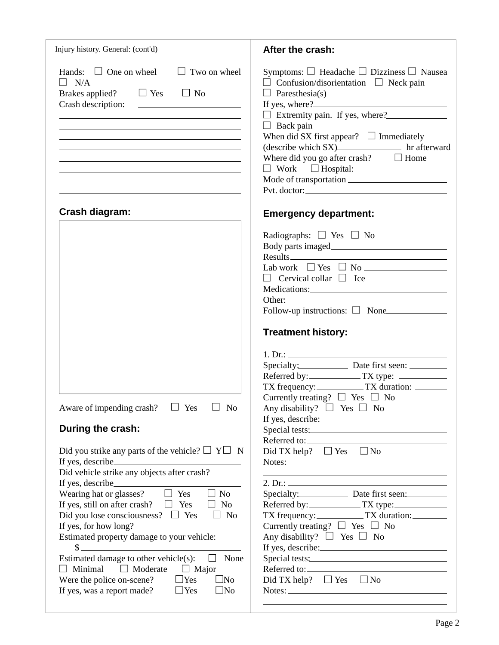| Injury history. General: (cont'd)                                                                                                                                                                                                                                                                                                                                                                                                                                                                                                                                                                                                                                                                                                                                                                                                                                                             | After the crash:                                                                                                                                                                                                                                                                                                                                                                                                                                                                                                    |
|-----------------------------------------------------------------------------------------------------------------------------------------------------------------------------------------------------------------------------------------------------------------------------------------------------------------------------------------------------------------------------------------------------------------------------------------------------------------------------------------------------------------------------------------------------------------------------------------------------------------------------------------------------------------------------------------------------------------------------------------------------------------------------------------------------------------------------------------------------------------------------------------------|---------------------------------------------------------------------------------------------------------------------------------------------------------------------------------------------------------------------------------------------------------------------------------------------------------------------------------------------------------------------------------------------------------------------------------------------------------------------------------------------------------------------|
| Hands: $\Box$ One on wheel $\Box$ Two on wheel<br>$\Box$ N/A<br>Brakes applied? $\Box$ Yes $\Box$ No<br><u> 1989 - Johann Stoff, deutscher Stoffen und der Stoffen und der Stoffen und der Stoffen und der Stoffen und der</u><br><u> 1989 - Johann Barn, mars ann an Cathair ann an t-Aonaichte ann an t-Aonaichte ann an t-Aonaichte ann an t-Aon</u><br>the control of the control of the control of the control of the control of the control of the control of the control of the control of the control of the control of the control of the control of the control of the control<br><u> 1989 - Jan Salaman Salaman (j. 1989)</u><br><u> 1989 - Johann Stoff, Amerikaansk politiker († 1908)</u><br><u> 1989 - Johann Stoff, amerikansk politiker (* 1908)</u><br><u> 1989 - Johann Stein, mars an deutscher Stein und der Stein und der Stein und der Stein und der Stein und der</u> | Symptoms: $\Box$ Headache $\Box$ Dizziness $\Box$ Nausea<br>$\Box$ Confusion/disorientation $\Box$ Neck pain<br>$\Box$ Paresthesia(s)<br>If yes, where?<br>Extremity pain. If yes, where?<br>$\Box$ Back pain<br>When did SX first appear? $\Box$ Immediately<br>(describe which SX) hr afterward<br>Where did you go after crash? $\Box$ Home<br>$\Box$ Work $\Box$ Hospital:                                                                                                                                      |
|                                                                                                                                                                                                                                                                                                                                                                                                                                                                                                                                                                                                                                                                                                                                                                                                                                                                                               |                                                                                                                                                                                                                                                                                                                                                                                                                                                                                                                     |
| Crash diagram:                                                                                                                                                                                                                                                                                                                                                                                                                                                                                                                                                                                                                                                                                                                                                                                                                                                                                | <b>Emergency department:</b>                                                                                                                                                                                                                                                                                                                                                                                                                                                                                        |
| Aware of impending crash? $\Box$ Yes $\Box$ No<br>During the crash:<br>Did you strike any parts of the vehicle? $\Box Y \Box N$<br>If yes, describe <u>the second</u> state of the second state of the second state of the second state of the second state of the second state of the second state of the second state of the second state of the second state of the                                                                                                                                                                                                                                                                                                                                                                                                                                                                                                                        | Radiographs: $\Box$ Yes $\Box$ No<br>Lab work $\Box$ Yes $\Box$ No $\Box$<br>$\Box$ Cervical collar $\Box$ Ice<br>Other:<br>Follow-up instructions: $\Box$ None<br><b>Treatment history:</b><br>1. Dr.:<br>Specialty: Date first seen: _______<br>Referred by: ______________TX type:<br>TX frequency: TX duration:<br>Currently treating? $\Box$ Yes $\Box$ No<br>Any disability? $\square$ Yes $\square$ No<br>If yes, describe:<br>Special tests:<br>Referred to:<br>Did TX help? $\Box$ Yes $\Box$ No<br>Notes: |
| Did vehicle strike any objects after crash?<br>If yes, describe<br>Wearing hat or glasses? $\Box$ Yes $\Box$ No<br>If yes, still on after crash? $\Box$ Yes<br>No<br>$\Box$<br>Did you lose consciousness? $\Box$ Yes<br>$\Box$ No<br>If yes, for how long?<br>Estimated property damage to your vehicle:<br>$\frac{1}{2}$<br>Estimated damage to other vehicle(s):<br>None<br>$\Box$<br>$\Box$ Moderate<br>Minimal<br>$\Box$ Major<br>$\Box$<br>$\Box$ Yes<br>$\square$ No<br>Were the police on-scene?<br>If yes, was a report made?<br>$\Box$ Yes<br>$\Box$ No                                                                                                                                                                                                                                                                                                                             | <u> 1989 - Johann Stoff, deutscher Stoffen und der Stoffen und der Stoffen und der Stoffen und der Stoffen und der</u><br>Specialty: Date first seen:<br>TX frequency: TX duration:<br>Currently treating? $\Box$ Yes $\Box$ No<br>Any disability? $\Box$ Yes $\Box$ No<br>If yes, describe:<br>Special tests:<br>Did TX help? $\Box$ Yes $\Box$ No<br>Notes:                                                                                                                                                       |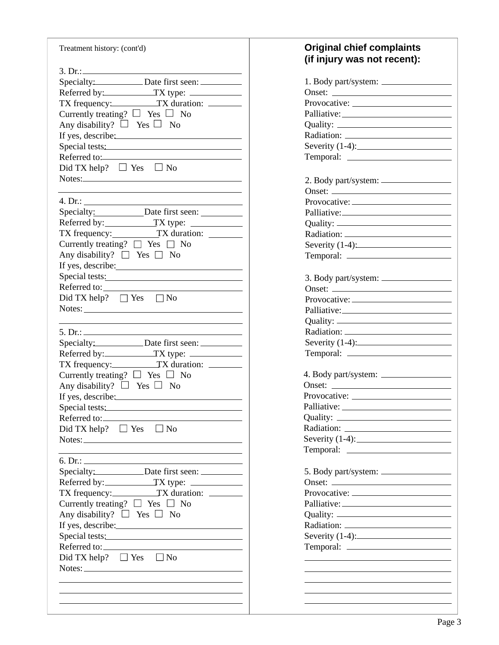| Treatment history: (cont'd)                                                                                                                                                                                                                                                                                           | <b>Original chief complaints</b><br>(if injury was not recent): |
|-----------------------------------------------------------------------------------------------------------------------------------------------------------------------------------------------------------------------------------------------------------------------------------------------------------------------|-----------------------------------------------------------------|
| 3. Dr.: $\frac{1}{2}$ $\frac{1}{2}$ $\frac{1}{2}$ $\frac{1}{2}$ $\frac{1}{2}$ $\frac{1}{2}$ $\frac{1}{2}$ $\frac{1}{2}$ $\frac{1}{2}$ $\frac{1}{2}$ $\frac{1}{2}$ $\frac{1}{2}$ $\frac{1}{2}$ $\frac{1}{2}$ $\frac{1}{2}$ $\frac{1}{2}$ $\frac{1}{2}$ $\frac{1}{2}$ $\frac{1}{2}$ $\frac{1}{2}$ $\frac{1}{2}$ $\frac$ |                                                                 |
| Specialty: Date first seen:                                                                                                                                                                                                                                                                                           |                                                                 |
| Referred by: TX type:                                                                                                                                                                                                                                                                                                 |                                                                 |
| TX frequency: TX duration:                                                                                                                                                                                                                                                                                            |                                                                 |
| Currently treating? $\Box$ Yes $\Box$ No                                                                                                                                                                                                                                                                              |                                                                 |
| Any disability? $\Box$ Yes $\Box$ No                                                                                                                                                                                                                                                                                  |                                                                 |
| If yes, describe:                                                                                                                                                                                                                                                                                                     |                                                                 |
| Special tests:                                                                                                                                                                                                                                                                                                        | Severity $(1-4)$ :                                              |
| Referred to:                                                                                                                                                                                                                                                                                                          | Temporal:                                                       |
| Did TX help? $\Box$ Yes $\Box$ No                                                                                                                                                                                                                                                                                     |                                                                 |
| Notes:                                                                                                                                                                                                                                                                                                                | 2. Body part/system:                                            |
|                                                                                                                                                                                                                                                                                                                       |                                                                 |
| 4. Dr.:                                                                                                                                                                                                                                                                                                               |                                                                 |
| Specialty: Date first seen:                                                                                                                                                                                                                                                                                           |                                                                 |
|                                                                                                                                                                                                                                                                                                                       | Palliative: 2008                                                |
| Referred by: TX type:                                                                                                                                                                                                                                                                                                 |                                                                 |
| TX frequency: TX duration:                                                                                                                                                                                                                                                                                            |                                                                 |
| Currently treating? $\Box$ Yes $\Box$ No                                                                                                                                                                                                                                                                              | Severity $(1-4)$ :                                              |
| Any disability? $\Box$ Yes $\Box$ No                                                                                                                                                                                                                                                                                  |                                                                 |
| If yes, describe:                                                                                                                                                                                                                                                                                                     |                                                                 |
| Special tests:                                                                                                                                                                                                                                                                                                        | 3. Body part/system:                                            |
| Referred to:                                                                                                                                                                                                                                                                                                          |                                                                 |
| Did TX help? $\Box$ Yes $\Box$ No                                                                                                                                                                                                                                                                                     |                                                                 |
| Notes:                                                                                                                                                                                                                                                                                                                | Palliative: 2008                                                |
|                                                                                                                                                                                                                                                                                                                       |                                                                 |
| 5. Dr.:                                                                                                                                                                                                                                                                                                               |                                                                 |
| Specialty: Date first seen:                                                                                                                                                                                                                                                                                           | Severity $(1-4)$ :                                              |
| Referred by:_____________TX type: ______________                                                                                                                                                                                                                                                                      |                                                                 |
| TX frequency: TX duration:                                                                                                                                                                                                                                                                                            |                                                                 |
| Currently treating? $\Box$ Yes $\Box$ No                                                                                                                                                                                                                                                                              |                                                                 |
| Any disability? $\Box$ Yes $\Box$ No                                                                                                                                                                                                                                                                                  |                                                                 |
|                                                                                                                                                                                                                                                                                                                       |                                                                 |
| If yes, describe:                                                                                                                                                                                                                                                                                                     |                                                                 |
| Special tests:                                                                                                                                                                                                                                                                                                        |                                                                 |
|                                                                                                                                                                                                                                                                                                                       |                                                                 |
| Did TX help? $\Box$ Yes $\Box$ No                                                                                                                                                                                                                                                                                     |                                                                 |
| Notes: Notes:                                                                                                                                                                                                                                                                                                         | Severity $(1-4)$ :                                              |
| <u> 1989 - Johann Stoff, amerikansk politiker (* 1908)</u>                                                                                                                                                                                                                                                            | Temporal:                                                       |
| 6. Dr.:                                                                                                                                                                                                                                                                                                               |                                                                 |
| Specialty: Date first seen:                                                                                                                                                                                                                                                                                           |                                                                 |
| Referred by: TX type:                                                                                                                                                                                                                                                                                                 |                                                                 |
| TX frequency:_____________TX duration: _________                                                                                                                                                                                                                                                                      |                                                                 |
| Currently treating? $\Box$ Yes $\Box$ No                                                                                                                                                                                                                                                                              |                                                                 |
| Any disability? $\Box$ Yes $\Box$ No                                                                                                                                                                                                                                                                                  |                                                                 |
|                                                                                                                                                                                                                                                                                                                       |                                                                 |
| Special tests:                                                                                                                                                                                                                                                                                                        | Severity $(1-4)$ :                                              |
|                                                                                                                                                                                                                                                                                                                       |                                                                 |
| Did TX help? $\Box$ Yes $\Box$ No                                                                                                                                                                                                                                                                                     |                                                                 |
| Notes:                                                                                                                                                                                                                                                                                                                |                                                                 |
|                                                                                                                                                                                                                                                                                                                       |                                                                 |
|                                                                                                                                                                                                                                                                                                                       |                                                                 |
|                                                                                                                                                                                                                                                                                                                       |                                                                 |
|                                                                                                                                                                                                                                                                                                                       |                                                                 |

## **(if injury was not recent):**

| Onset:                                                                          |
|---------------------------------------------------------------------------------|
|                                                                                 |
|                                                                                 |
|                                                                                 |
|                                                                                 |
| Severity $(1-4)$ :                                                              |
|                                                                                 |
|                                                                                 |
|                                                                                 |
|                                                                                 |
| Provocative:                                                                    |
|                                                                                 |
|                                                                                 |
|                                                                                 |
|                                                                                 |
| Severity $(1-4)$ :                                                              |
|                                                                                 |
|                                                                                 |
|                                                                                 |
| Provocative:                                                                    |
|                                                                                 |
|                                                                                 |
|                                                                                 |
| Severity $(1-4)$ :                                                              |
|                                                                                 |
|                                                                                 |
| Onset:                                                                          |
| Provocative: __                                                                 |
|                                                                                 |
|                                                                                 |
|                                                                                 |
|                                                                                 |
|                                                                                 |
| Temporal:<br>$\mathcal{L}^{\text{max}}$ . The set of $\mathcal{L}^{\text{max}}$ |
|                                                                                 |
| Onset:                                                                          |
|                                                                                 |
|                                                                                 |
|                                                                                 |
|                                                                                 |
| Severity $(1-4)$ :                                                              |
|                                                                                 |
|                                                                                 |
|                                                                                 |
|                                                                                 |
|                                                                                 |
|                                                                                 |